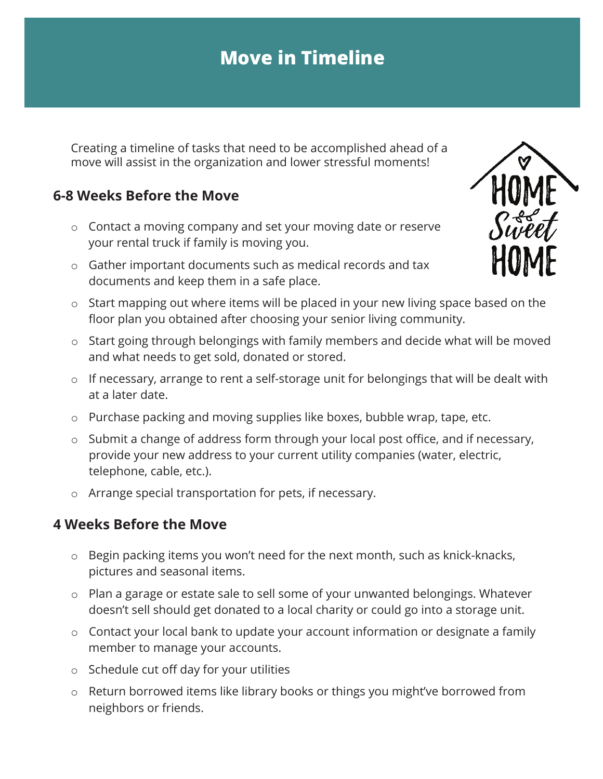# **Move in Timeline**

Creating a timeline of tasks that need to be accomplished ahead of a move will assist in the organization and lower stressful moments!

# **6-8 Weeks Before the Move**

- o Contact a moving company and set your moving date or reserve your rental truck if family is moving you.
- o Gather important documents such as medical records and tax documents and keep them in a safe place.



- o Start mapping out where items will be placed in your new living space based on the floor plan you obtained after choosing your senior living community.
- o Start going through belongings with family members and decide what will be moved and what needs to get sold, donated or stored.
- o If necessary, arrange to rent a self-storage unit for belongings that will be dealt with at a later date.
- o Purchase packing and moving supplies like boxes, bubble wrap, tape, etc.
- o Submit a change of address form through your local post office, and if necessary, provide your new address to your current utility companies (water, electric, telephone, cable, etc.).
- o Arrange special transportation for pets, if necessary.

#### **4 Weeks Before the Move**

- o Begin packing items you won't need for the next month, such as knick-knacks, pictures and seasonal items.
- o Plan a garage or estate sale to sell some of your unwanted belongings. Whatever doesn't sell should get donated to a local charity or could go into a storage unit.
- o Contact your local bank to update your account information or designate a family member to manage your accounts.
- o Schedule cut off day for your utilities
- o Return borrowed items like library books or things you might've borrowed from neighbors or friends.